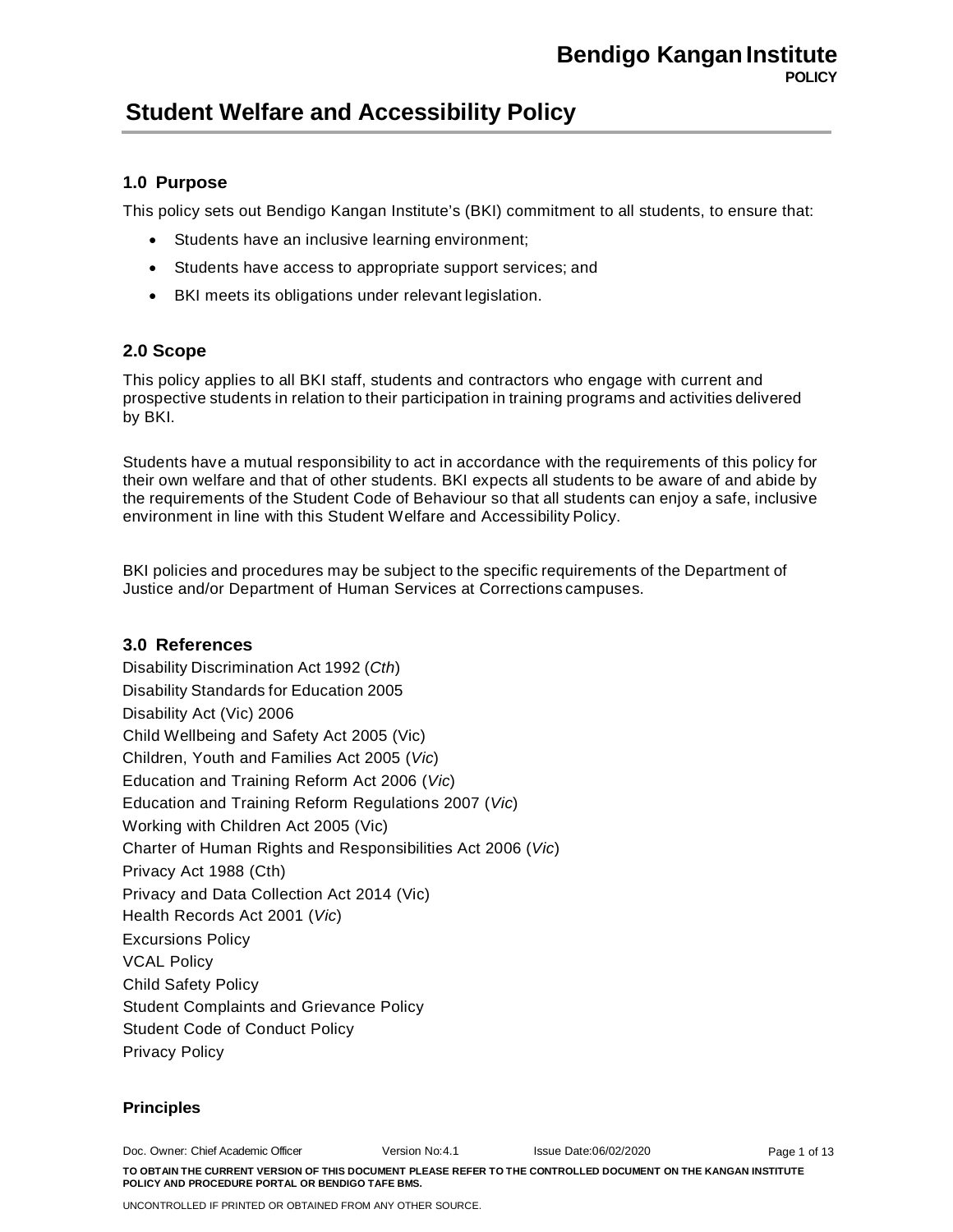### **1.0 Purpose**

This policy sets out Bendigo Kangan Institute's (BKI) commitment to all students, to ensure that:

- Students have an inclusive learning environment;
- Students have access to appropriate support services; and
- BKI meets its obligations under relevant legislation.

### **2.0 Scope**

This policy applies to all BKI staff, students and contractors who engage with current and prospective students in relation to their participation in training programs and activities delivered by BKI.

Students have a mutual responsibility to act in accordance with the requirements of this policy for their own welfare and that of other students. BKI expects all students to be aware of and abide by the requirements of the Student Code of Behaviour so that all students can enjoy a safe, inclusive environment in line with this Student Welfare and Accessibility Policy.

BKI policies and procedures may be subject to the specific requirements of the Department of Justice and/or Department of Human Services at Corrections campuses.

### **3.0 References**

Disability Discrimination Act 1992 (*Cth*) Disability Standards for Education 2005 Disability Act (Vic) 2006 Child Wellbeing and Safety Act 2005 (Vic) Children, Youth and Families Act 2005 (*Vic*) Education and Training Reform Act 2006 (*Vic*) Education and Training Reform Regulations 2007 (*Vic*) Working with Children Act 2005 (Vic) Charter of Human Rights and Responsibilities Act 2006 (*Vic*) Privacy Act 1988 (Cth) Privacy and Data Collection Act 2014 (Vic) Health Records Act 2001 (*Vic*) Excursions Policy VCAL Policy Child Safety Policy Student Complaints and Grievance Policy Student Code of Conduct Policy Privacy Policy

### **Principles**

Doc. Owner: Chief Academic Officer Version No:4.1 Issue Date:06/02/2020 **TO OBTAIN THE CURRENT VERSION OF THIS DOCUMENT PLEASE REFER TO THE CONTROLLED DOCUMENT ON THE KANGAN INSTITUTE POLICY AND PROCEDURE PORTAL OR BENDIGO TAFE BMS.** Page 1 of 13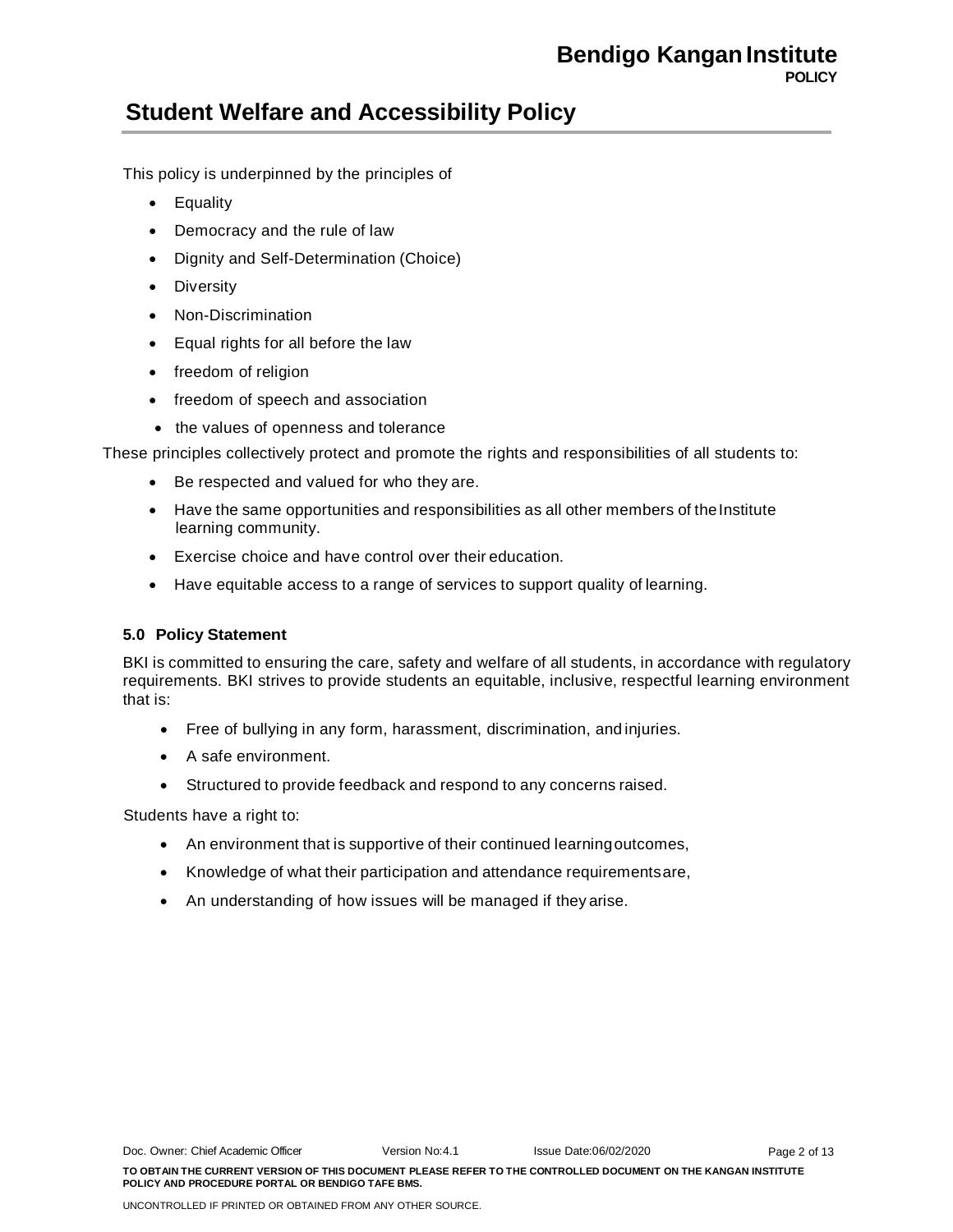This policy is underpinned by the principles of

- Equality
- Democracy and the rule of law
- Dignity and Self-Determination (Choice)
- Diversity
- Non-Discrimination
- Equal rights for all before the law
- freedom of religion
- freedom of speech and association
- the values of openness and tolerance

These principles collectively protect and promote the rights and responsibilities of all students to:

- Be respected and valued for who they are.
- Have the same opportunities and responsibilities as all other members of the Institute learning community.
- Exercise choice and have control over their education.
- Have equitable access to a range of services to support quality of learning.

### **5.0 Policy Statement**

BKI is committed to ensuring the care, safety and welfare of all students, in accordance with regulatory requirements. BKI strives to provide students an equitable, inclusive, respectful learning environment that is:

- Free of bullying in any form, harassment, discrimination, and injuries.
- A safe environment.
- Structured to provide feedback and respond to any concerns raised.

Students have a right to:

- An environment that is supportive of their continued learningoutcomes,
- Knowledge of what their participation and attendance requirementsare,
- An understanding of how issues will be managed if they arise.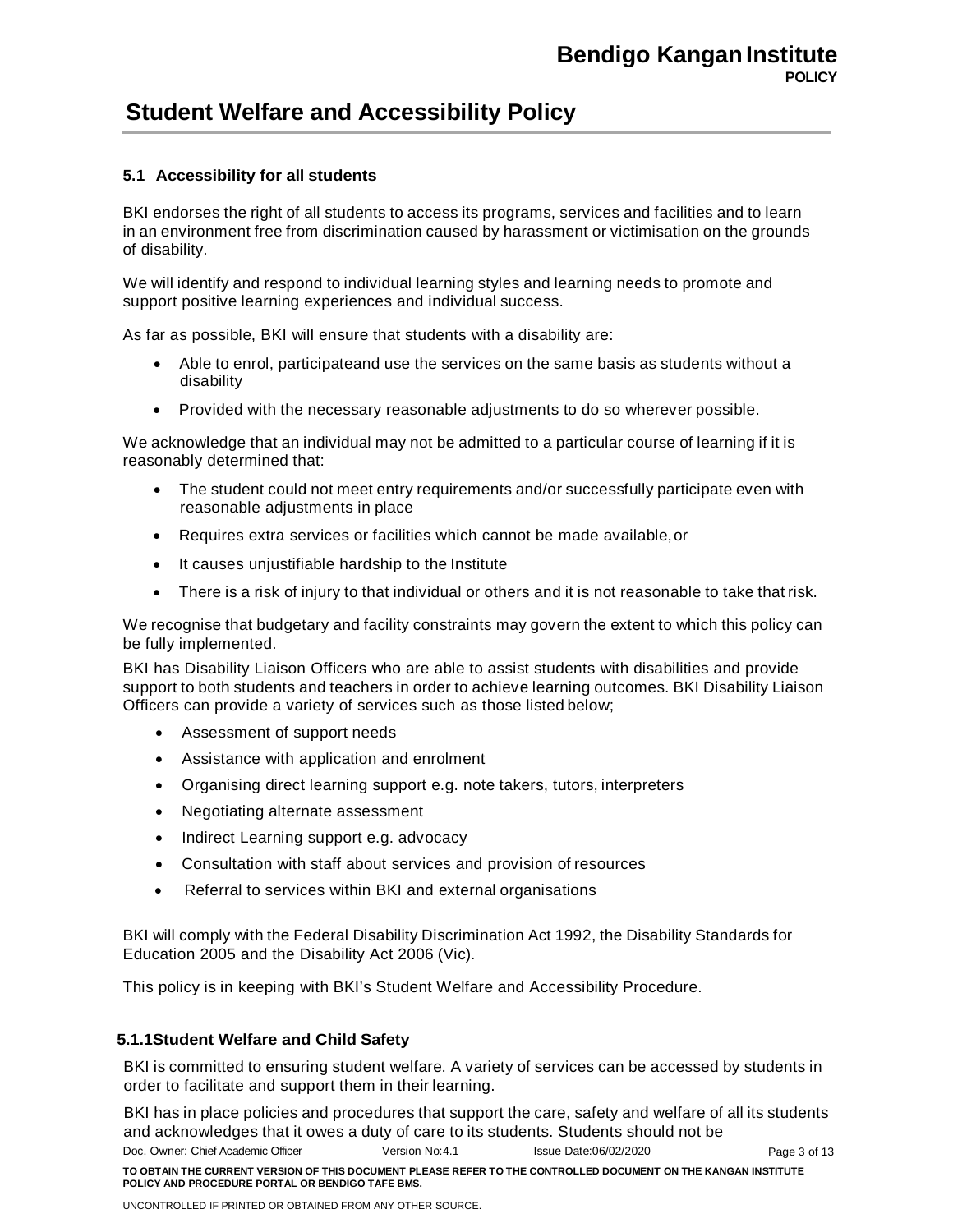### **5.1 Accessibility for all students**

BKI endorses the right of all students to access its programs, services and facilities and to learn in an environment free from discrimination caused by harassment or victimisation on the grounds of disability.

We will identify and respond to individual learning styles and learning needs to promote and support positive learning experiences and individual success.

As far as possible, BKI will ensure that students with a disability are:

- Able to enrol, participateand use the services on the same basis as students without a disability
- Provided with the necessary reasonable adjustments to do so wherever possible.

We acknowledge that an individual may not be admitted to a particular course of learning if it is reasonably determined that:

- The student could not meet entry requirements and/or successfully participate even with reasonable adjustments in place
- Requires extra services or facilities which cannot be made available,or
- It causes unjustifiable hardship to the Institute
- There is a risk of injury to that individual or others and it is not reasonable to take that risk.

We recognise that budgetary and facility constraints may govern the extent to which this policy can be fully implemented.

BKI has Disability Liaison Officers who are able to assist students with disabilities and provide support to both students and teachers in order to achieve learning outcomes. BKI Disability Liaison Officers can provide a variety of services such as those listed below;

- Assessment of support needs
- Assistance with application and enrolment
- Organising direct learning support e.g. note takers, tutors, interpreters
- Negotiating alternate assessment
- Indirect Learning support e.g. advocacy
- Consultation with staff about services and provision of resources
- Referral to services within BKI and external organisations

BKI will comply with the Federal Disability Discrimination Act 1992, the Disability Standards for Education 2005 and the Disability Act 2006 (Vic).

This policy is in keeping with BKI's Student Welfare and Accessibility Procedure.

### **5.1.1Student Welfare and Child Safety**

BKI is committed to ensuring student welfare. A variety of services can be accessed by students in order to facilitate and support them in their learning.

Doc. Owner: Chief Academic Officer Version No:4.1 Issue Date:06/02/2020 **TO OBTAIN THE CURRENT VERSION OF THIS DOCUMENT PLEASE REFER TO THE CONTROLLED DOCUMENT ON THE KANGAN INSTITUTE POLICY AND PROCEDURE PORTAL OR BENDIGO TAFE BMS.** Page 3 of 13 BKI has in place policies and procedures that support the care, safety and welfare of all its students and acknowledges that it owes a duty of care to its students. Students should not be

UNCONTROLLED IF PRINTED OR OBTAINED FROM ANY OTHER SOURCE.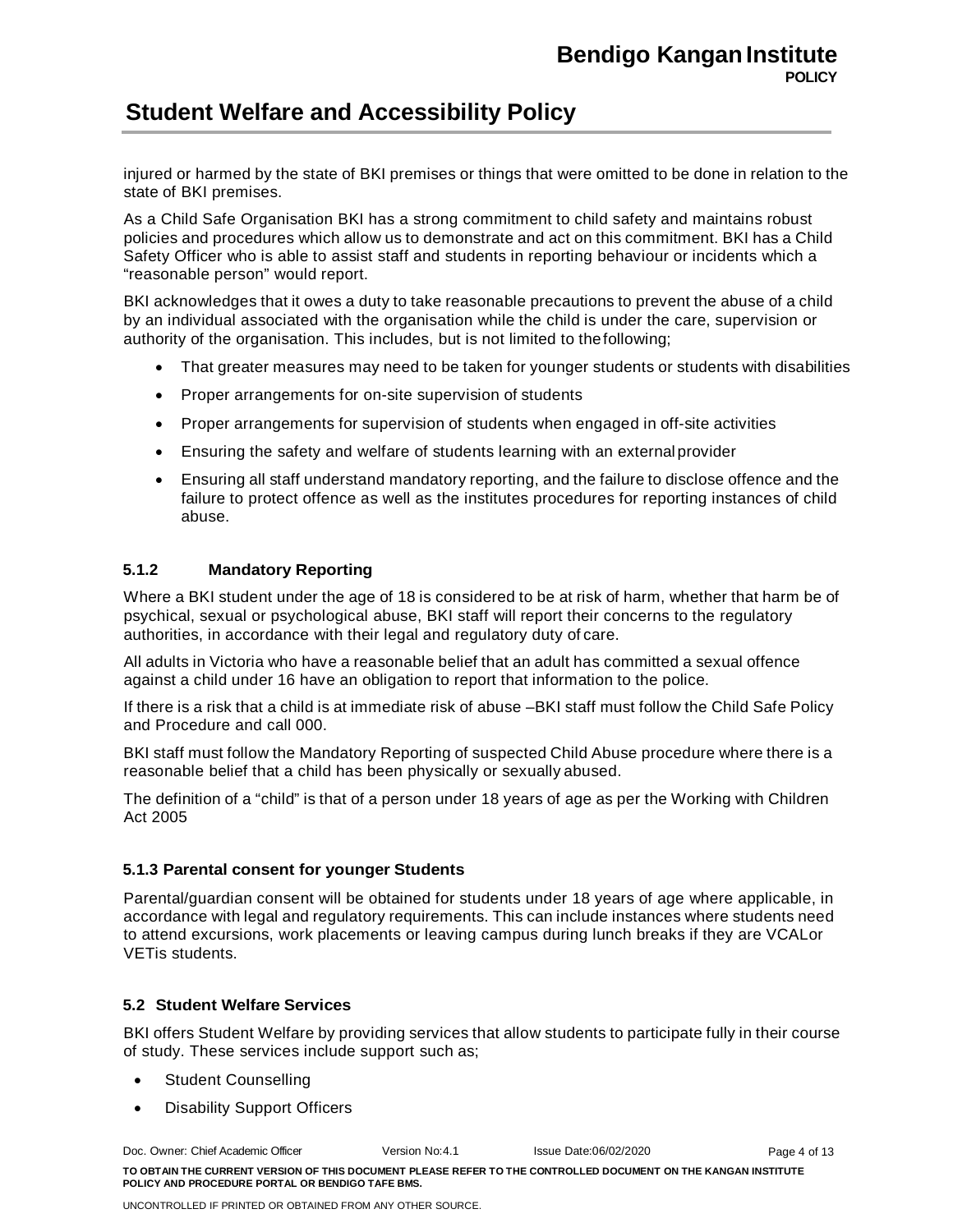injured or harmed by the state of BKI premises or things that were omitted to be done in relation to the state of BKI premises.

As a Child Safe Organisation BKI has a strong commitment to child safety and maintains robust policies and procedures which allow us to demonstrate and act on this commitment. BKI has a Child Safety Officer who is able to assist staff and students in reporting behaviour or incidents which a "reasonable person" would report.

BKI acknowledges that it owes a duty to take reasonable precautions to prevent the abuse of a child by an individual associated with the organisation while the child is under the care, supervision or authority of the organisation. This includes, but is not limited to thefollowing;

- That greater measures may need to be taken for younger students or students with disabilities
- Proper arrangements for on-site supervision of students
- Proper arrangements for supervision of students when engaged in off-site activities
- Ensuring the safety and welfare of students learning with an external provider
- Ensuring all staff understand mandatory reporting, and the failure to disclose offence and the failure to protect offence as well as the institutes procedures for reporting instances of child abuse.

### **5.1.2 Mandatory Reporting**

Where a BKI student under the age of 18 is considered to be at risk of harm, whether that harm be of psychical, sexual or psychological abuse, BKI staff will report their concerns to the regulatory authorities, in accordance with their legal and regulatory duty of care.

All adults in Victoria who have a reasonable belief that an adult has committed a sexual offence against a child under 16 have an obligation to report that information to the police.

If there is a risk that a child is at immediate risk of abuse –BKI staff must follow the Child Safe Policy and Procedure and call 000.

BKI staff must follow the Mandatory Reporting of suspected Child Abuse procedure where there is a reasonable belief that a child has been physically or sexually abused.

The definition of a "child" is that of a person under 18 years of age as per the Working with Children Act 2005

### **5.1.3 Parental consent for younger Students**

Parental/guardian consent will be obtained for students under 18 years of age where applicable, in accordance with legal and regulatory requirements. This can include instances where students need to attend excursions, work placements or leaving campus during lunch breaks if they are VCALor VETis students.

### **5.2 Student Welfare Services**

BKI offers Student Welfare by providing services that allow students to participate fully in their course of study. These services include support such as;

- Student Counselling
- **Disability Support Officers**

Doc. Owner: Chief Academic Officer Version No:4.1 Issue Date:06/02/2020 **TO OBTAIN THE CURRENT VERSION OF THIS DOCUMENT PLEASE REFER TO THE CONTROLLED DOCUMENT ON THE KANGAN INSTITUTE POLICY AND PROCEDURE PORTAL OR BENDIGO TAFE BMS.** Page 4 of 13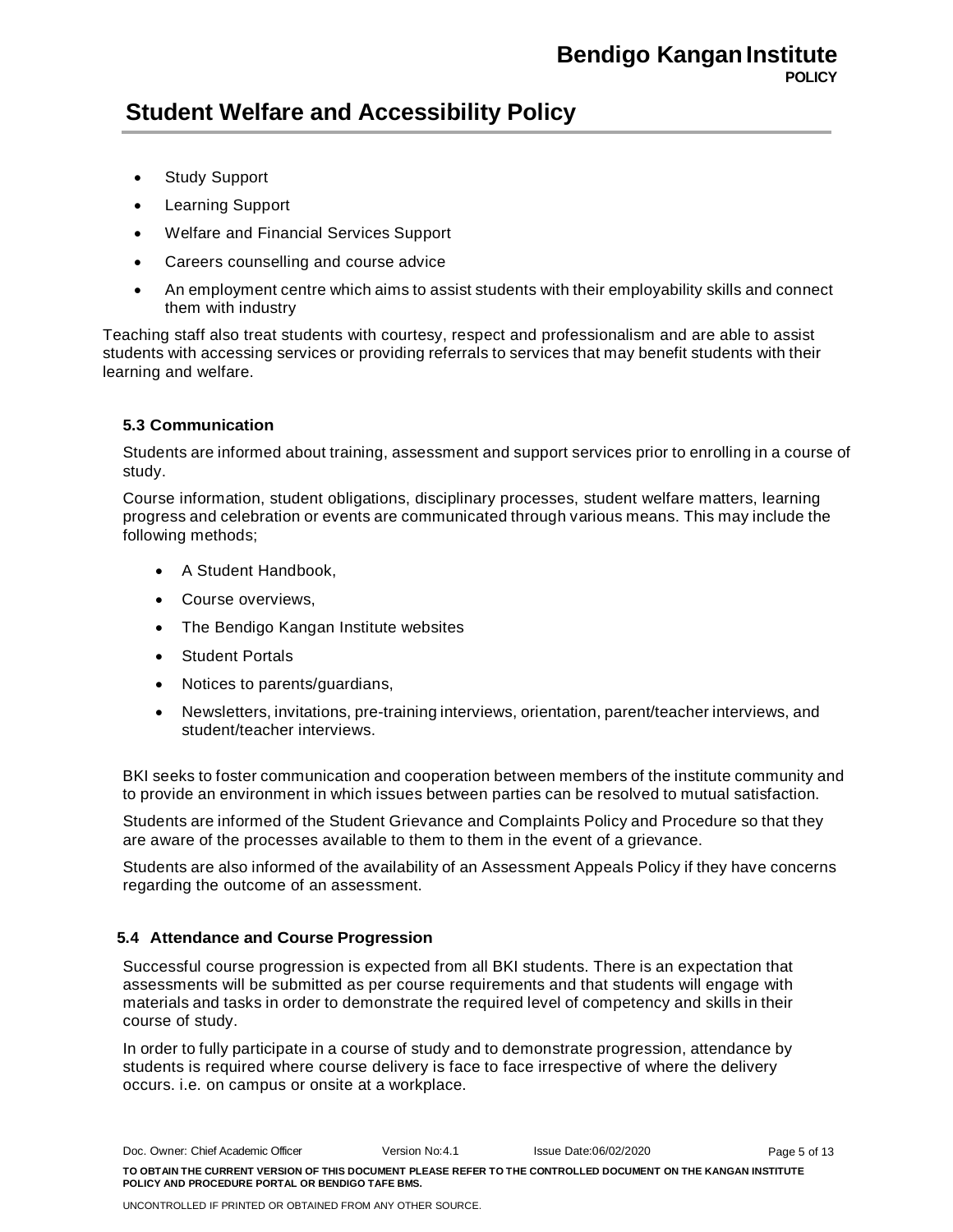- Study Support
- Learning Support
- Welfare and Financial Services Support
- Careers counselling and course advice
- An employment centre which aims to assist students with their employability skills and connect them with industry

Teaching staff also treat students with courtesy, respect and professionalism and are able to assist students with accessing services or providing referrals to services that may benefit students with their learning and welfare.

### **5.3 Communication**

Students are informed about training, assessment and support services prior to enrolling in a course of study.

Course information, student obligations, disciplinary processes, student welfare matters, learning progress and celebration or events are communicated through various means. This may include the following methods;

- A Student Handbook,
- Course overviews,
- The Bendigo Kangan Institute websites
- **Student Portals**
- Notices to parents/guardians,
- Newsletters, invitations, pre-training interviews, orientation, parent/teacher interviews, and student/teacher interviews.

BKI seeks to foster communication and cooperation between members of the institute community and to provide an environment in which issues between parties can be resolved to mutual satisfaction.

Students are informed of the Student Grievance and Complaints Policy and Procedure so that they are aware of the processes available to them to them in the event of a grievance.

Students are also informed of the availability of an Assessment Appeals Policy if they have concerns regarding the outcome of an assessment.

### **5.4 Attendance and Course Progression**

Successful course progression is expected from all BKI students. There is an expectation that assessments will be submitted as per course requirements and that students will engage with materials and tasks in order to demonstrate the required level of competency and skills in their course of study.

In order to fully participate in a course of study and to demonstrate progression, attendance by students is required where course delivery is face to face irrespective of where the delivery occurs. i.e. on campus or onsite at a workplace.

Doc. Owner: Chief Academic Officer Version No:4.1 Issue Date:06/02/2020 **TO OBTAIN THE CURRENT VERSION OF THIS DOCUMENT PLEASE REFER TO THE CONTROLLED DOCUMENT ON THE KANGAN INSTITUTE POLICY AND PROCEDURE PORTAL OR BENDIGO TAFE BMS.** Page 5 of 13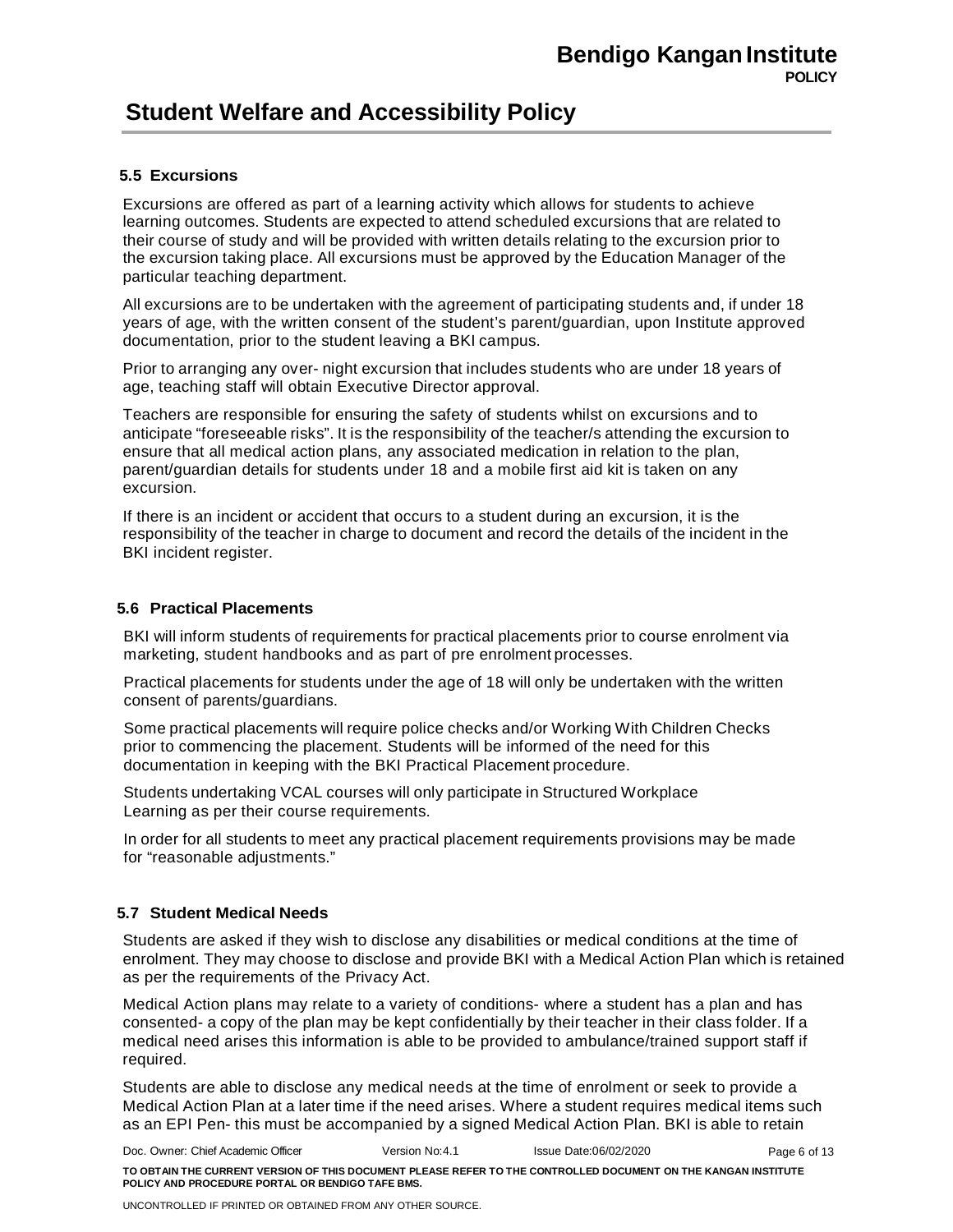### **5.5 Excursions**

Excursions are offered as part of a learning activity which allows for students to achieve learning outcomes. Students are expected to attend scheduled excursions that are related to their course of study and will be provided with written details relating to the excursion prior to the excursion taking place. All excursions must be approved by the Education Manager of the particular teaching department.

All excursions are to be undertaken with the agreement of participating students and, if under 18 years of age, with the written consent of the student's parent/guardian, upon Institute approved documentation, prior to the student leaving a BKI campus.

Prior to arranging any over- night excursion that includes students who are under 18 years of age, teaching staff will obtain Executive Director approval.

Teachers are responsible for ensuring the safety of students whilst on excursions and to anticipate "foreseeable risks". It is the responsibility of the teacher/s attending the excursion to ensure that all medical action plans, any associated medication in relation to the plan, parent/guardian details for students under 18 and a mobile first aid kit is taken on any excursion.

If there is an incident or accident that occurs to a student during an excursion, it is the responsibility of the teacher in charge to document and record the details of the incident in the BKI incident register.

#### **5.6 Practical Placements**

BKI will inform students of requirements for practical placements prior to course enrolment via marketing, student handbooks and as part of pre enrolment processes.

Practical placements for students under the age of 18 will only be undertaken with the written consent of parents/guardians.

Some practical placements will require police checks and/or Working With Children Checks prior to commencing the placement. Students will be informed of the need for this documentation in keeping with the BKI Practical Placement procedure.

Students undertaking VCAL courses will only participate in Structured Workplace Learning as per their course requirements.

In order for all students to meet any practical placement requirements provisions may be made for "reasonable adjustments."

### **5.7 Student Medical Needs**

Students are asked if they wish to disclose any disabilities or medical conditions at the time of enrolment. They may choose to disclose and provide BKI with a Medical Action Plan which is retained as per the requirements of the Privacy Act.

Medical Action plans may relate to a variety of conditions- where a student has a plan and has consented- a copy of the plan may be kept confidentially by their teacher in their class folder. If a medical need arises this information is able to be provided to ambulance/trained support staff if required.

Students are able to disclose any medical needs at the time of enrolment or seek to provide a Medical Action Plan at a later time if the need arises. Where a student requires medical items such as an EPI Pen- this must be accompanied by a signed Medical Action Plan. BKI is able to retain

Doc. Owner: Chief Academic Officer Version No:4.1 Issue Date:06/02/2020 **TO OBTAIN THE CURRENT VERSION OF THIS DOCUMENT PLEASE REFER TO THE CONTROLLED DOCUMENT ON THE KANGAN INSTITUTE POLICY AND PROCEDURE PORTAL OR BENDIGO TAFE BMS.** Page 6 of 13

UNCONTROLLED IF PRINTED OR OBTAINED FROM ANY OTHER SOURCE.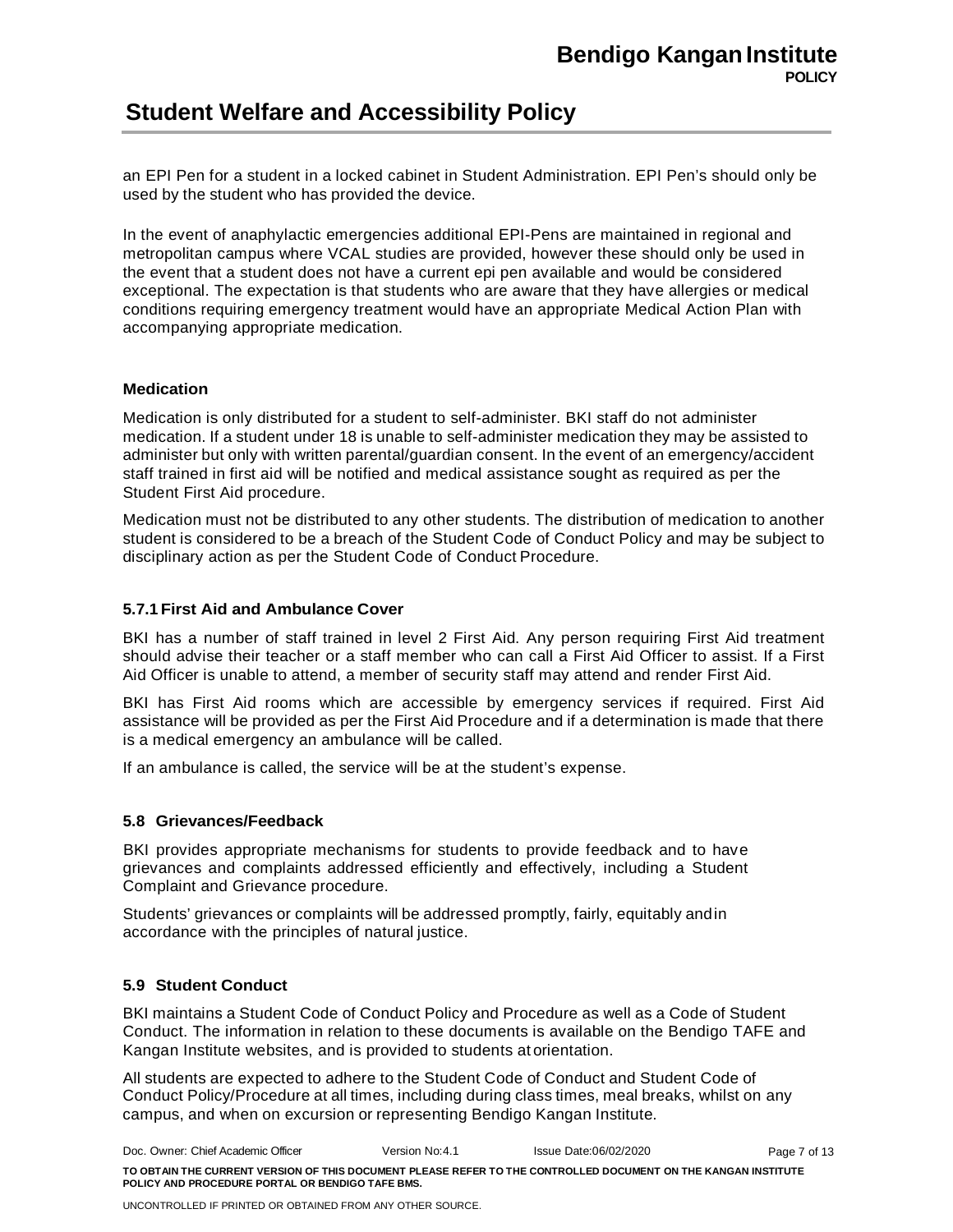an EPI Pen for a student in a locked cabinet in Student Administration. EPI Pen's should only be used by the student who has provided the device.

In the event of anaphylactic emergencies additional EPI-Pens are maintained in regional and metropolitan campus where VCAL studies are provided, however these should only be used in the event that a student does not have a current epi pen available and would be considered exceptional. The expectation is that students who are aware that they have allergies or medical conditions requiring emergency treatment would have an appropriate Medical Action Plan with accompanying appropriate medication.

### **Medication**

Medication is only distributed for a student to self-administer. BKI staff do not administer medication. If a student under 18 is unable to self-administer medication they may be assisted to administer but only with written parental/guardian consent. In the event of an emergency/accident staff trained in first aid will be notified and medical assistance sought as required as per the Student First Aid procedure.

Medication must not be distributed to any other students. The distribution of medication to another student is considered to be a breach of the Student Code of Conduct Policy and may be subject to disciplinary action as per the Student Code of Conduct Procedure.

### **5.7.1 First Aid and Ambulance Cover**

BKI has a number of staff trained in level 2 First Aid. Any person requiring First Aid treatment should advise their teacher or a staff member who can call a First Aid Officer to assist. If a First Aid Officer is unable to attend, a member of security staff may attend and render First Aid.

BKI has First Aid rooms which are accessible by emergency services if required. First Aid assistance will be provided as per the First Aid Procedure and if a determination is made that there is a medical emergency an ambulance will be called.

If an ambulance is called, the service will be at the student's expense.

### **5.8 Grievances/Feedback**

BKI provides appropriate mechanisms for students to provide feedback and to have grievances and complaints addressed efficiently and effectively, including a Student Complaint and Grievance procedure.

Students' grievances or complaints will be addressed promptly, fairly, equitably andin accordance with the principles of natural justice.

### **5.9 Student Conduct**

BKI maintains a Student Code of Conduct Policy and Procedure as well as a Code of Student Conduct. The information in relation to these documents is available on the Bendigo TAFE and Kangan Institute websites, and is provided to students at orientation.

All students are expected to adhere to the Student Code of Conduct and Student Code of Conduct Policy/Procedure at all times, including during class times, meal breaks, whilst on any campus, and when on excursion or representing Bendigo Kangan Institute.

Doc. Owner: Chief Academic Officer Version No:4.1 Issue Date:06/02/2020 **TO OBTAIN THE CURRENT VERSION OF THIS DOCUMENT PLEASE REFER TO THE CONTROLLED DOCUMENT ON THE KANGAN INSTITUTE POLICY AND PROCEDURE PORTAL OR BENDIGO TAFE BMS.** Page 7 of 13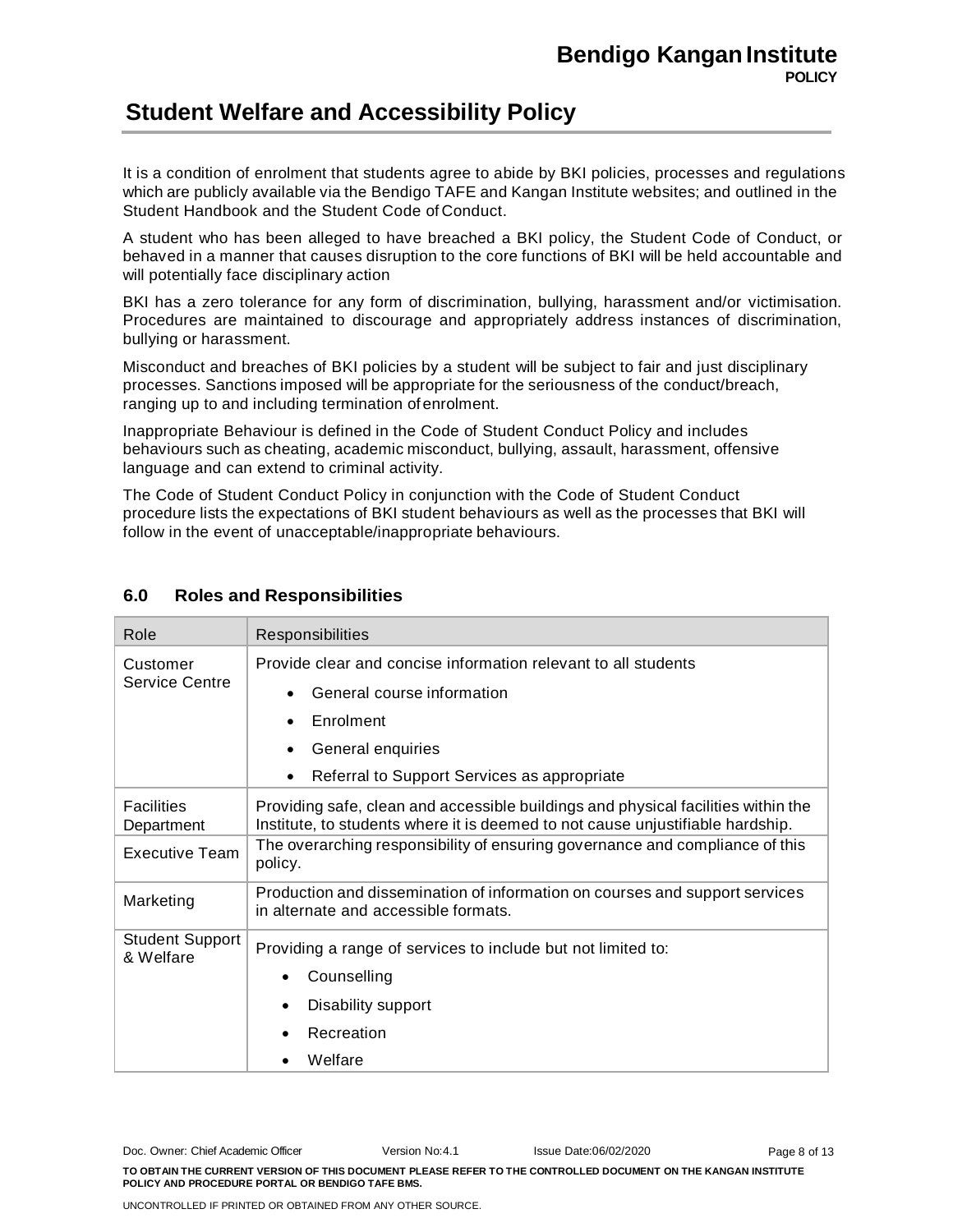It is a condition of enrolment that students agree to abide by BKI policies, processes and regulations which are publicly available via the Bendigo TAFE and Kangan Institute websites; and outlined in the Student Handbook and the Student Code of Conduct.

A student who has been alleged to have breached a BKI policy, the Student Code of Conduct, or behaved in a manner that causes disruption to the core functions of BKI will be held accountable and will potentially face disciplinary action

BKI has a zero tolerance for any form of discrimination, bullying, harassment and/or victimisation. Procedures are maintained to discourage and appropriately address instances of discrimination, bullying or harassment.

Misconduct and breaches of BKI policies by a student will be subject to fair and just disciplinary processes. Sanctions imposed will be appropriate for the seriousness of the conduct/breach, ranging up to and including termination of enrolment.

Inappropriate Behaviour is defined in the Code of Student Conduct Policy and includes behaviours such as cheating, academic misconduct, bullying, assault, harassment, offensive language and can extend to criminal activity.

The Code of Student Conduct Policy in conjunction with the Code of Student Conduct procedure lists the expectations of BKI student behaviours as well as the processes that BKI will follow in the event of unacceptable/inappropriate behaviours.

| Role                                | Responsibilities                                                                                                                                                    |  |  |
|-------------------------------------|---------------------------------------------------------------------------------------------------------------------------------------------------------------------|--|--|
| Customer                            | Provide clear and concise information relevant to all students                                                                                                      |  |  |
| <b>Service Centre</b>               | General course information<br>$\bullet$                                                                                                                             |  |  |
|                                     | Enrolment                                                                                                                                                           |  |  |
|                                     | General enquiries<br>$\bullet$                                                                                                                                      |  |  |
|                                     | Referral to Support Services as appropriate<br>$\bullet$                                                                                                            |  |  |
| <b>Facilities</b><br>Department     | Providing safe, clean and accessible buildings and physical facilities within the<br>Institute, to students where it is deemed to not cause unjustifiable hardship. |  |  |
| <b>Executive Team</b>               | The overarching responsibility of ensuring governance and compliance of this<br>policy.                                                                             |  |  |
| Marketing                           | Production and dissemination of information on courses and support services<br>in alternate and accessible formats.                                                 |  |  |
| <b>Student Support</b><br>& Welfare | Providing a range of services to include but not limited to:                                                                                                        |  |  |
|                                     | Counselling                                                                                                                                                         |  |  |
|                                     | Disability support                                                                                                                                                  |  |  |
|                                     | Recreation                                                                                                                                                          |  |  |
| Welfare                             |                                                                                                                                                                     |  |  |

### **6.0 Roles and Responsibilities**

Doc. Owner: Chief Academic Officer Version No:4.1 Issue Date:06/02/2020 **TO OBTAIN THE CURRENT VERSION OF THIS DOCUMENT PLEASE REFER TO THE CONTROLLED DOCUMENT ON THE KANGAN INSTITUTE POLICY AND PROCEDURE PORTAL OR BENDIGO TAFE BMS.** Page 8 of 13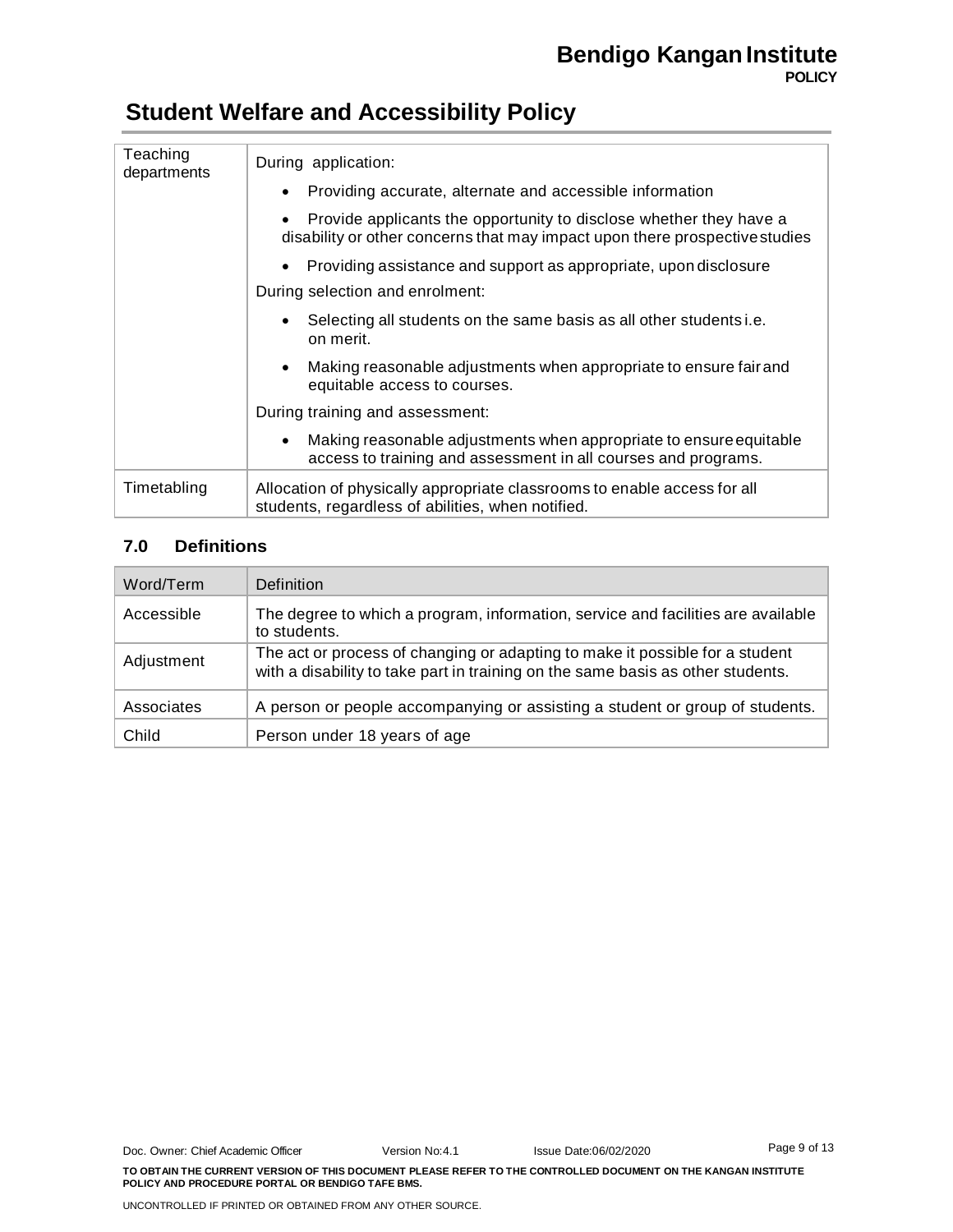| Teaching<br>departments | During application:                                                                                                                               |  |  |  |
|-------------------------|---------------------------------------------------------------------------------------------------------------------------------------------------|--|--|--|
|                         | Providing accurate, alternate and accessible information<br>$\bullet$                                                                             |  |  |  |
|                         | Provide applicants the opportunity to disclose whether they have a<br>disability or other concerns that may impact upon there prospective studies |  |  |  |
|                         | Providing assistance and support as appropriate, upon disclosure                                                                                  |  |  |  |
|                         | During selection and enrolment:                                                                                                                   |  |  |  |
|                         | Selecting all students on the same basis as all other students i.e.<br>on merit.                                                                  |  |  |  |
|                         | Making reasonable adjustments when appropriate to ensure fair and<br>equitable access to courses.                                                 |  |  |  |
|                         | During training and assessment:                                                                                                                   |  |  |  |
|                         | Making reasonable adjustments when appropriate to ensure equitable<br>$\bullet$<br>access to training and assessment in all courses and programs. |  |  |  |
| Timetabling             | Allocation of physically appropriate classrooms to enable access for all<br>students, regardless of abilities, when notified.                     |  |  |  |

### **7.0 Definitions**

| Word/Term  | Definition                                                                                                                                                      |
|------------|-----------------------------------------------------------------------------------------------------------------------------------------------------------------|
| Accessible | The degree to which a program, information, service and facilities are available<br>to students.                                                                |
| Adjustment | The act or process of changing or adapting to make it possible for a student<br>with a disability to take part in training on the same basis as other students. |
| Associates | A person or people accompanying or assisting a student or group of students.                                                                                    |
| Child      | Person under 18 years of age                                                                                                                                    |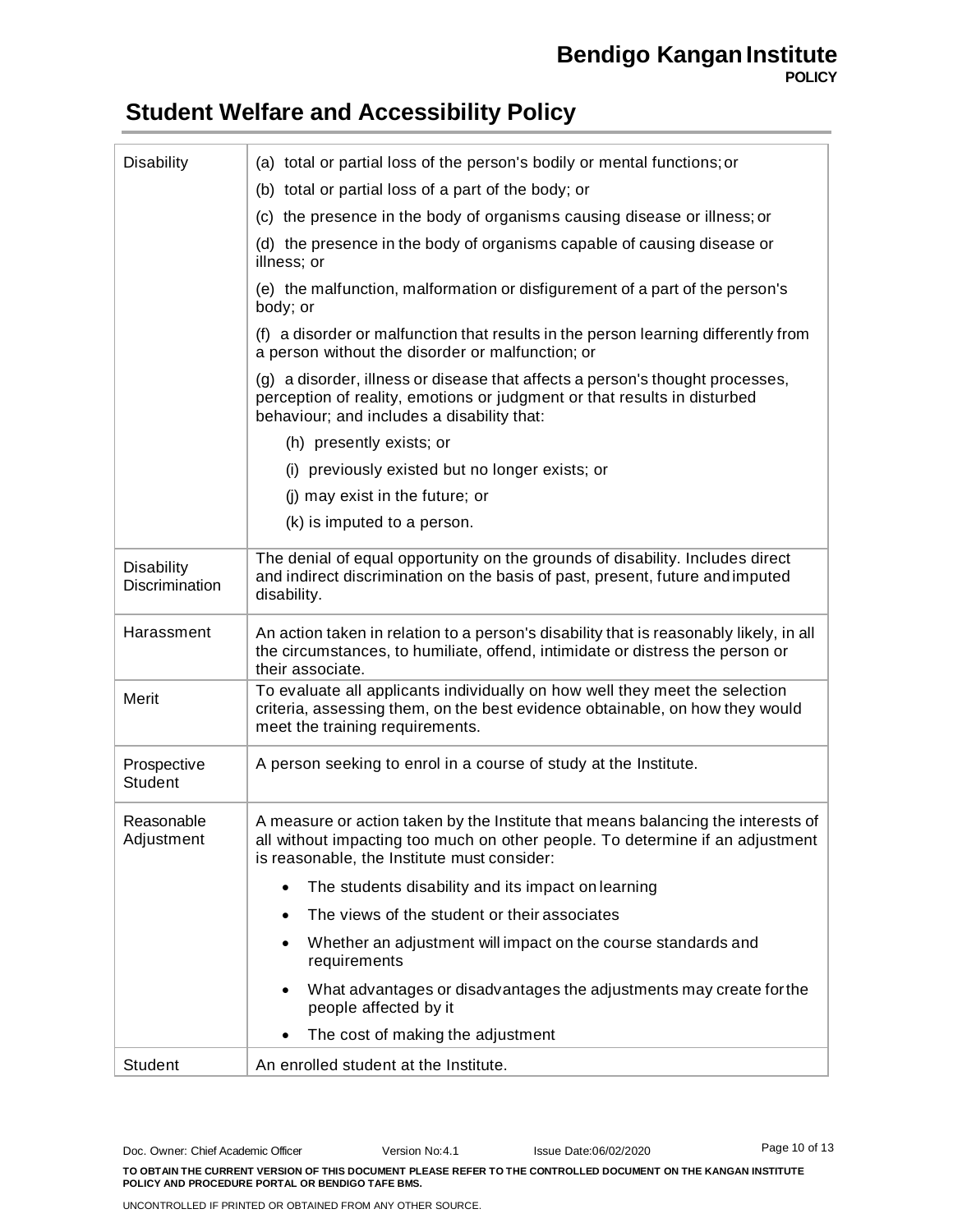### **Bendigo Kangan Institute POLICY**

# **Student Welfare and Accessibility Policy**

| <b>Disability</b>                   | (a) total or partial loss of the person's bodily or mental functions; or                                                                                                                                         |  |  |  |
|-------------------------------------|------------------------------------------------------------------------------------------------------------------------------------------------------------------------------------------------------------------|--|--|--|
|                                     | (b) total or partial loss of a part of the body; or                                                                                                                                                              |  |  |  |
|                                     | (c) the presence in the body of organisms causing disease or illness; or                                                                                                                                         |  |  |  |
|                                     | (d) the presence in the body of organisms capable of causing disease or<br>illness; or                                                                                                                           |  |  |  |
|                                     | (e) the malfunction, malformation or disfigurement of a part of the person's<br>body; or                                                                                                                         |  |  |  |
|                                     | (f) a disorder or malfunction that results in the person learning differently from<br>a person without the disorder or malfunction; or                                                                           |  |  |  |
|                                     | (g) a disorder, illness or disease that affects a person's thought processes,<br>perception of reality, emotions or judgment or that results in disturbed<br>behaviour; and includes a disability that:          |  |  |  |
|                                     | (h) presently exists; or                                                                                                                                                                                         |  |  |  |
|                                     | (i) previously existed but no longer exists; or                                                                                                                                                                  |  |  |  |
|                                     | (i) may exist in the future; or                                                                                                                                                                                  |  |  |  |
|                                     | (k) is imputed to a person.                                                                                                                                                                                      |  |  |  |
| <b>Disability</b><br>Discrimination | The denial of equal opportunity on the grounds of disability. Includes direct<br>and indirect discrimination on the basis of past, present, future and imputed<br>disability.                                    |  |  |  |
| Harassment                          | An action taken in relation to a person's disability that is reasonably likely, in all<br>the circumstances, to humiliate, offend, intimidate or distress the person or<br>their associate.                      |  |  |  |
| Merit                               | To evaluate all applicants individually on how well they meet the selection<br>criteria, assessing them, on the best evidence obtainable, on how they would<br>meet the training requirements.                   |  |  |  |
| Prospective<br>Student              | A person seeking to enrol in a course of study at the Institute.                                                                                                                                                 |  |  |  |
| Reasonable<br>Adjustment            | A measure or action taken by the Institute that means balancing the interests of<br>all without impacting too much on other people. To determine if an adjustment<br>is reasonable, the Institute must consider: |  |  |  |
|                                     | The students disability and its impact on learning<br>$\bullet$                                                                                                                                                  |  |  |  |
|                                     | The views of the student or their associates                                                                                                                                                                     |  |  |  |
|                                     | Whether an adjustment will impact on the course standards and<br>requirements                                                                                                                                    |  |  |  |
|                                     | What advantages or disadvantages the adjustments may create for the<br>people affected by it                                                                                                                     |  |  |  |
|                                     | The cost of making the adjustment                                                                                                                                                                                |  |  |  |
| Student                             | An enrolled student at the Institute.                                                                                                                                                                            |  |  |  |

Doc. Owner: Chief Academic Officer Version No:4.1 Issue Date:06/02/2020 **TO OBTAIN THE CURRENT VERSION OF THIS DOCUMENT PLEASE REFER TO THE CONTROLLED DOCUMENT ON THE KANGAN INSTITUTE POLICY AND PROCEDURE PORTAL OR BENDIGO TAFE BMS.** Page 10 of 13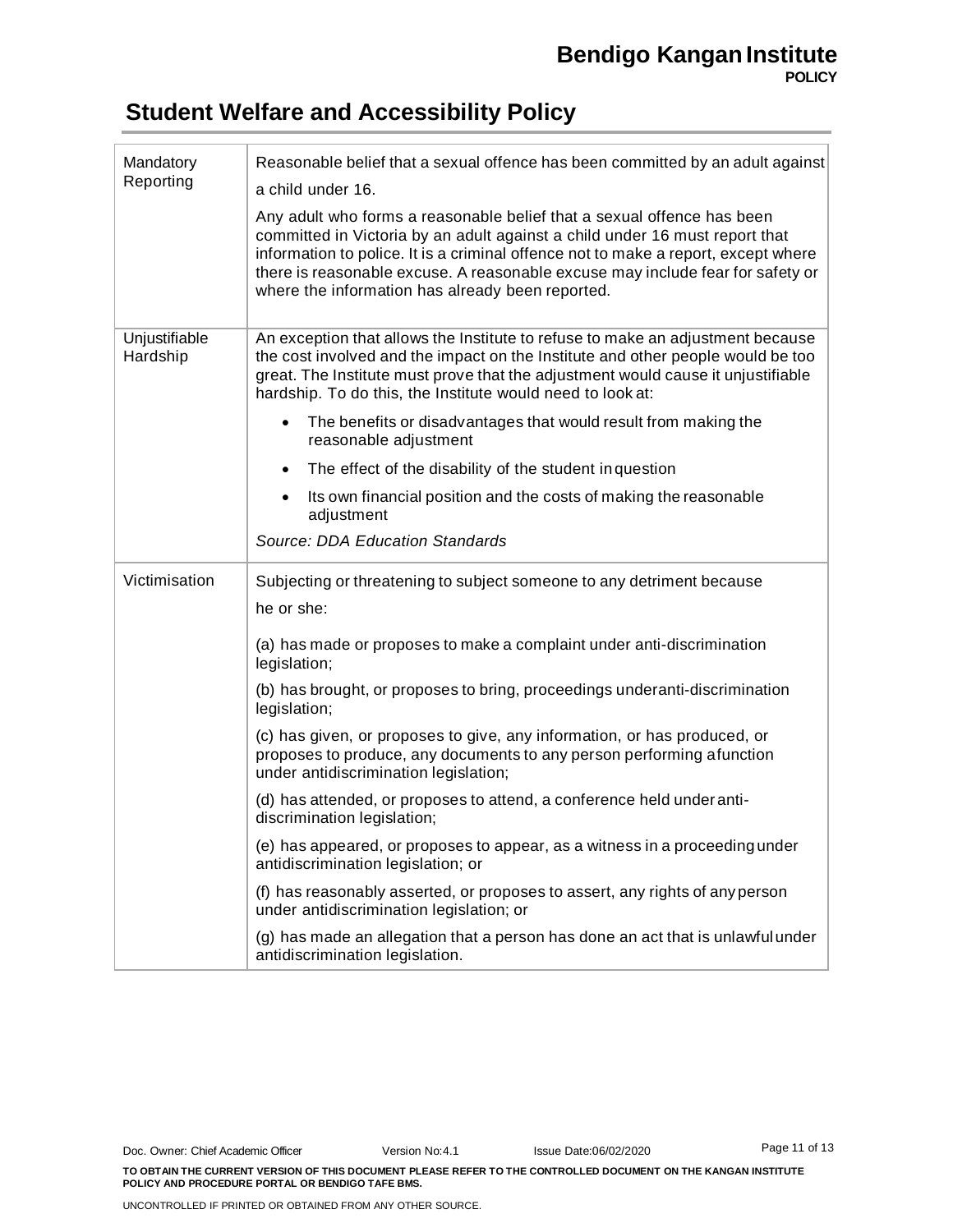| Mandatory<br>Reporting    | Reasonable belief that a sexual offence has been committed by an adult against<br>a child under 16.<br>Any adult who forms a reasonable belief that a sexual offence has been<br>committed in Victoria by an adult against a child under 16 must report that<br>information to police. It is a criminal offence not to make a report, except where<br>there is reasonable excuse. A reasonable excuse may include fear for safety or<br>where the information has already been reported. |
|---------------------------|------------------------------------------------------------------------------------------------------------------------------------------------------------------------------------------------------------------------------------------------------------------------------------------------------------------------------------------------------------------------------------------------------------------------------------------------------------------------------------------|
| Unjustifiable<br>Hardship | An exception that allows the Institute to refuse to make an adjustment because<br>the cost involved and the impact on the Institute and other people would be too<br>great. The Institute must prove that the adjustment would cause it unjustifiable<br>hardship. To do this, the Institute would need to look at:                                                                                                                                                                      |
|                           | The benefits or disadvantages that would result from making the<br>reasonable adjustment                                                                                                                                                                                                                                                                                                                                                                                                 |
|                           | The effect of the disability of the student in question                                                                                                                                                                                                                                                                                                                                                                                                                                  |
|                           | Its own financial position and the costs of making the reasonable<br>adjustment                                                                                                                                                                                                                                                                                                                                                                                                          |
|                           | <b>Source: DDA Education Standards</b>                                                                                                                                                                                                                                                                                                                                                                                                                                                   |
| Victimisation             | Subjecting or threatening to subject someone to any detriment because                                                                                                                                                                                                                                                                                                                                                                                                                    |
|                           | he or she:                                                                                                                                                                                                                                                                                                                                                                                                                                                                               |
|                           | (a) has made or proposes to make a complaint under anti-discrimination<br>legislation;                                                                                                                                                                                                                                                                                                                                                                                                   |
|                           | (b) has brought, or proposes to bring, proceedings underanti-discrimination<br>legislation;                                                                                                                                                                                                                                                                                                                                                                                              |
|                           | (c) has given, or proposes to give, any information, or has produced, or<br>proposes to produce, any documents to any person performing afunction<br>under antidiscrimination legislation;                                                                                                                                                                                                                                                                                               |
|                           | (d) has attended, or proposes to attend, a conference held under anti-<br>discrimination legislation;                                                                                                                                                                                                                                                                                                                                                                                    |
|                           | (e) has appeared, or proposes to appear, as a witness in a proceeding under<br>antidiscrimination legislation; or                                                                                                                                                                                                                                                                                                                                                                        |
|                           | (f) has reasonably asserted, or proposes to assert, any rights of any person<br>under antidiscrimination legislation; or                                                                                                                                                                                                                                                                                                                                                                 |
|                           | (g) has made an allegation that a person has done an act that is unlawful under<br>antidiscrimination legislation.                                                                                                                                                                                                                                                                                                                                                                       |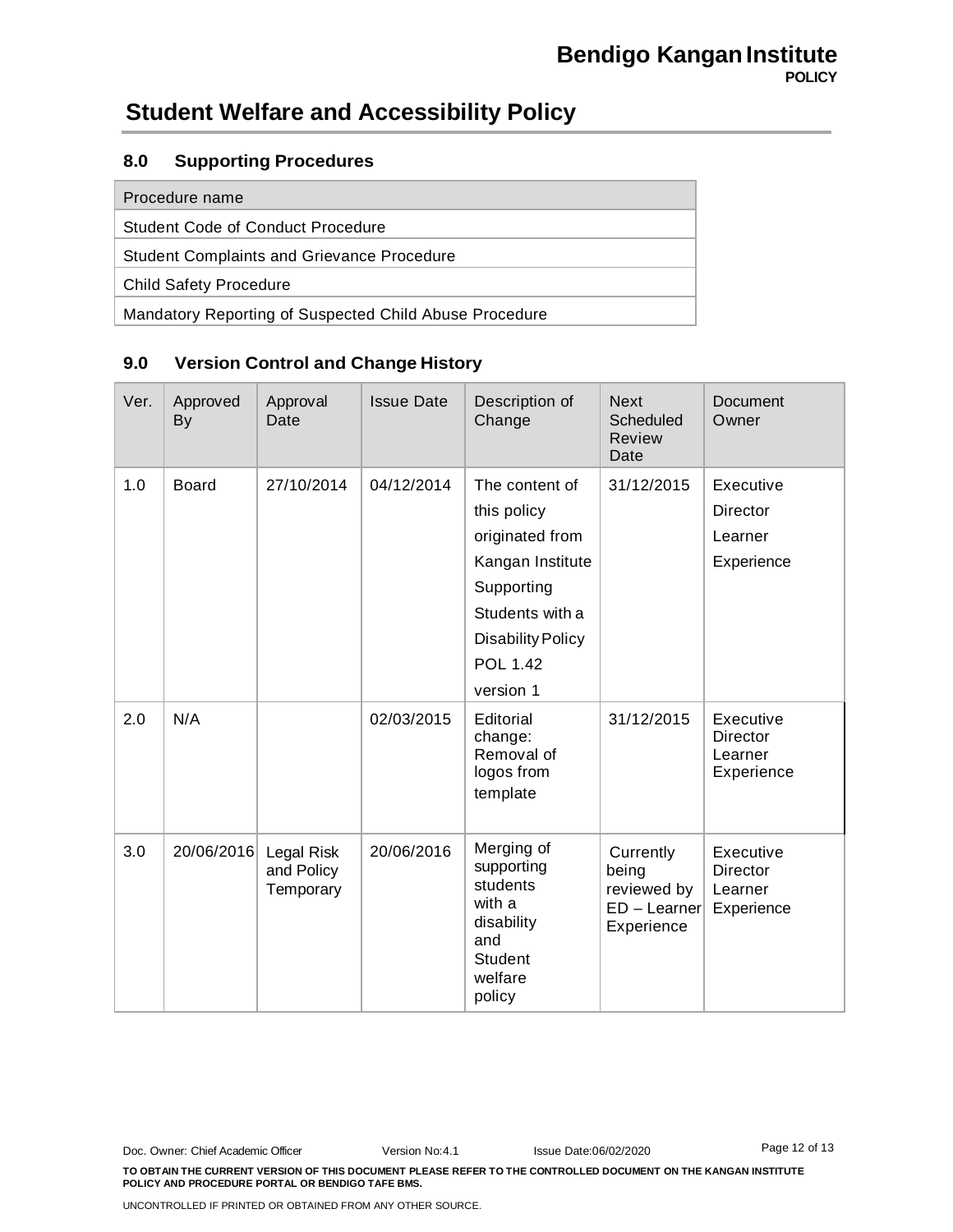### **8.0 Supporting Procedures**

| Procedure name                                         |  |  |
|--------------------------------------------------------|--|--|
| Student Code of Conduct Procedure                      |  |  |
| <b>Student Complaints and Grievance Procedure</b>      |  |  |
| <b>Child Safety Procedure</b>                          |  |  |
| Mandatory Reporting of Suspected Child Abuse Procedure |  |  |

### **9.0 Version Control and Change History**

| Ver. | Approved<br><b>By</b> | Approval<br>Date                      | <b>Issue Date</b> | Description of<br>Change                                                                                                                                          | <b>Next</b><br>Scheduled<br>Review<br>Date                        | Document<br>Owner                                     |
|------|-----------------------|---------------------------------------|-------------------|-------------------------------------------------------------------------------------------------------------------------------------------------------------------|-------------------------------------------------------------------|-------------------------------------------------------|
| 1.0  | <b>Board</b>          | 27/10/2014                            | 04/12/2014        | The content of<br>this policy<br>originated from<br>Kangan Institute<br>Supporting<br>Students with a<br><b>Disability Policy</b><br><b>POL 1.42</b><br>version 1 | 31/12/2015                                                        | Executive<br>Director<br>Learner<br>Experience        |
| 2.0  | N/A                   |                                       | 02/03/2015        | Editorial<br>change:<br>Removal of<br>logos from<br>template                                                                                                      | 31/12/2015                                                        | Executive<br><b>Director</b><br>Learner<br>Experience |
| 3.0  | 20/06/2016            | Legal Risk<br>and Policy<br>Temporary | 20/06/2016        | Merging of<br>supporting<br>students<br>with a<br>disability<br>and<br><b>Student</b><br>welfare<br>policy                                                        | Currently<br>being<br>reviewed by<br>$ED - Learner$<br>Experience | Executive<br><b>Director</b><br>Learner<br>Experience |

Doc. Owner: Chief Academic Officer Version No:4.1 Issue Date:06/02/2020 **TO OBTAIN THE CURRENT VERSION OF THIS DOCUMENT PLEASE REFER TO THE CONTROLLED DOCUMENT ON THE KANGAN INSTITUTE POLICY AND PROCEDURE PORTAL OR BENDIGO TAFE BMS.** Page 12 of 13

UNCONTROLLED IF PRINTED OR OBTAINED FROM ANY OTHER SOURCE.